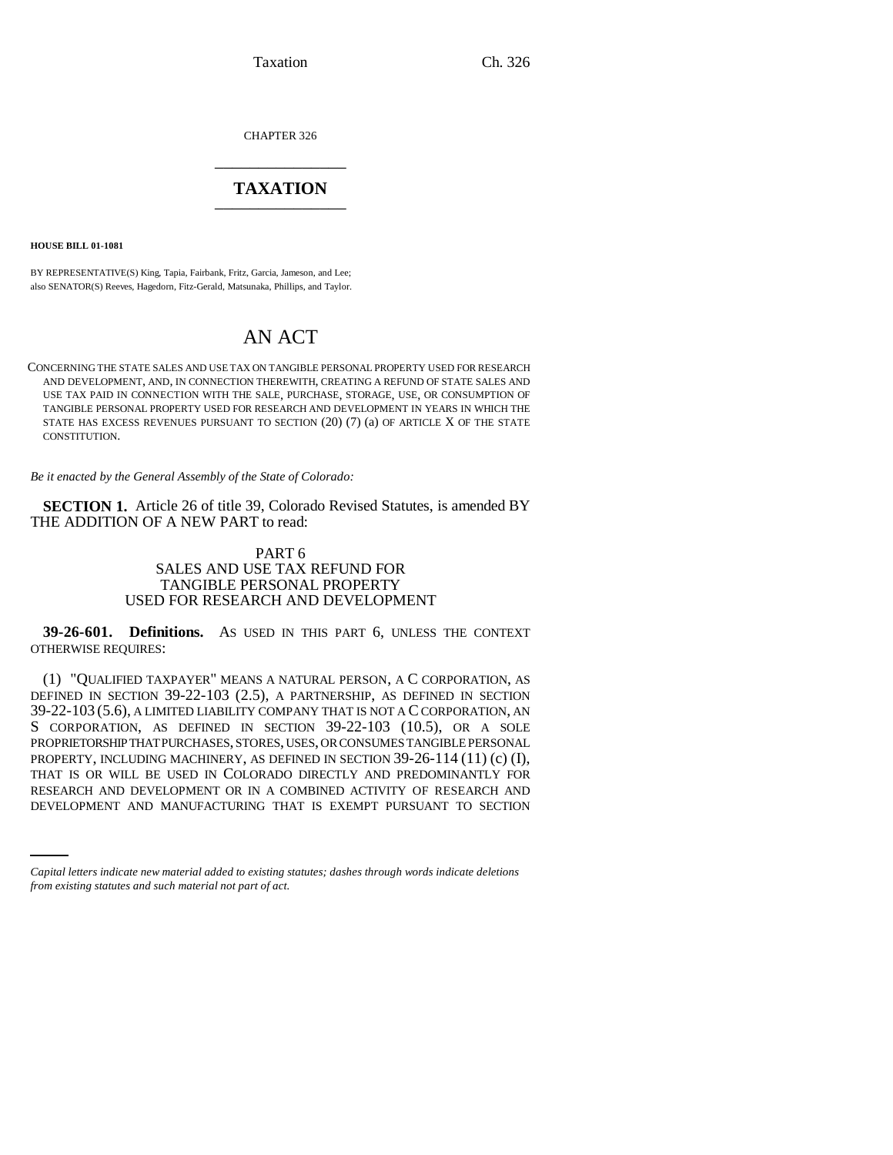Taxation Ch. 326

CHAPTER 326 \_\_\_\_\_\_\_\_\_\_\_\_\_\_\_

## **TAXATION** \_\_\_\_\_\_\_\_\_\_\_\_\_\_\_

**HOUSE BILL 01-1081**

BY REPRESENTATIVE(S) King, Tapia, Fairbank, Fritz, Garcia, Jameson, and Lee; also SENATOR(S) Reeves, Hagedorn, Fitz-Gerald, Matsunaka, Phillips, and Taylor.

# AN ACT

CONCERNING THE STATE SALES AND USE TAX ON TANGIBLE PERSONAL PROPERTY USED FOR RESEARCH AND DEVELOPMENT, AND, IN CONNECTION THEREWITH, CREATING A REFUND OF STATE SALES AND USE TAX PAID IN CONNECTION WITH THE SALE, PURCHASE, STORAGE, USE, OR CONSUMPTION OF TANGIBLE PERSONAL PROPERTY USED FOR RESEARCH AND DEVELOPMENT IN YEARS IN WHICH THE STATE HAS EXCESS REVENUES PURSUANT TO SECTION (20) (7) (a) OF ARTICLE X OF THE STATE CONSTITUTION.

*Be it enacted by the General Assembly of the State of Colorado:*

**SECTION 1.** Article 26 of title 39, Colorado Revised Statutes, is amended BY THE ADDITION OF A NEW PART to read:

### PART 6 SALES AND USE TAX REFUND FOR TANGIBLE PERSONAL PROPERTY USED FOR RESEARCH AND DEVELOPMENT

**39-26-601. Definitions.** AS USED IN THIS PART 6, UNLESS THE CONTEXT OTHERWISE REQUIRES:

THAT IS OR WILL BE USED IN COLORADO DIRECTLY AND PREDOMINANTLY FOR PESTABLY AND PREDOMINANTLY FOR (1) "QUALIFIED TAXPAYER" MEANS A NATURAL PERSON, A C CORPORATION, AS DEFINED IN SECTION 39-22-103 (2.5), A PARTNERSHIP, AS DEFINED IN SECTION 39-22-103 (5.6), A LIMITED LIABILITY COMPANY THAT IS NOT A C CORPORATION, AN S CORPORATION, AS DEFINED IN SECTION 39-22-103 (10.5), OR A SOLE PROPRIETORSHIP THAT PURCHASES, STORES, USES, OR CONSUMES TANGIBLE PERSONAL PROPERTY, INCLUDING MACHINERY, AS DEFINED IN SECTION 39-26-114 (11) (c) (I), RESEARCH AND DEVELOPMENT OR IN A COMBINED ACTIVITY OF RESEARCH AND DEVELOPMENT AND MANUFACTURING THAT IS EXEMPT PURSUANT TO SECTION

*Capital letters indicate new material added to existing statutes; dashes through words indicate deletions from existing statutes and such material not part of act.*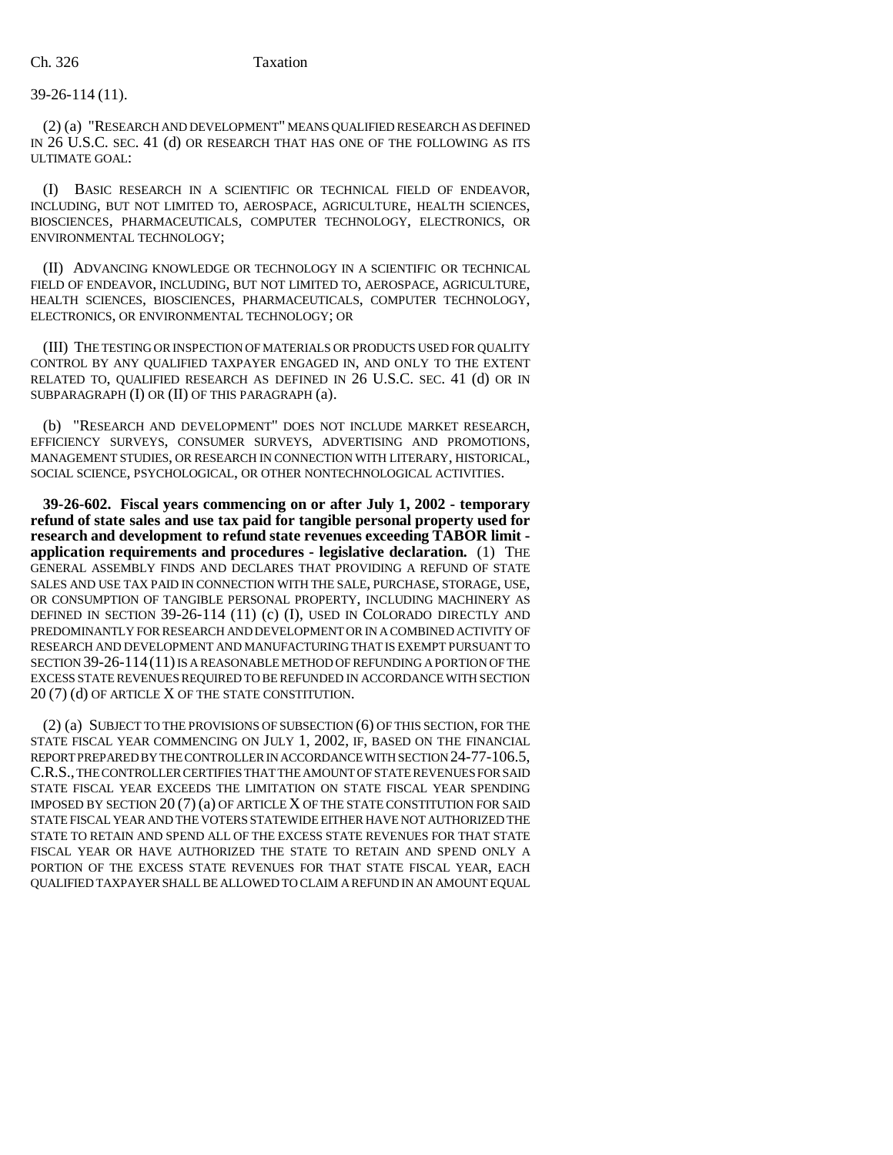#### 39-26-114 (11).

(2) (a) "RESEARCH AND DEVELOPMENT" MEANS QUALIFIED RESEARCH AS DEFINED IN 26 U.S.C. SEC. 41 (d) OR RESEARCH THAT HAS ONE OF THE FOLLOWING AS ITS ULTIMATE GOAL:

(I) BASIC RESEARCH IN A SCIENTIFIC OR TECHNICAL FIELD OF ENDEAVOR, INCLUDING, BUT NOT LIMITED TO, AEROSPACE, AGRICULTURE, HEALTH SCIENCES, BIOSCIENCES, PHARMACEUTICALS, COMPUTER TECHNOLOGY, ELECTRONICS, OR ENVIRONMENTAL TECHNOLOGY;

(II) ADVANCING KNOWLEDGE OR TECHNOLOGY IN A SCIENTIFIC OR TECHNICAL FIELD OF ENDEAVOR, INCLUDING, BUT NOT LIMITED TO, AEROSPACE, AGRICULTURE, HEALTH SCIENCES, BIOSCIENCES, PHARMACEUTICALS, COMPUTER TECHNOLOGY, ELECTRONICS, OR ENVIRONMENTAL TECHNOLOGY; OR

(III) THE TESTING OR INSPECTION OF MATERIALS OR PRODUCTS USED FOR QUALITY CONTROL BY ANY QUALIFIED TAXPAYER ENGAGED IN, AND ONLY TO THE EXTENT RELATED TO, QUALIFIED RESEARCH AS DEFINED IN 26 U.S.C. SEC. 41 (d) OR IN SUBPARAGRAPH (I) OR (II) OF THIS PARAGRAPH (a).

(b) "RESEARCH AND DEVELOPMENT" DOES NOT INCLUDE MARKET RESEARCH, EFFICIENCY SURVEYS, CONSUMER SURVEYS, ADVERTISING AND PROMOTIONS, MANAGEMENT STUDIES, OR RESEARCH IN CONNECTION WITH LITERARY, HISTORICAL, SOCIAL SCIENCE, PSYCHOLOGICAL, OR OTHER NONTECHNOLOGICAL ACTIVITIES.

**39-26-602. Fiscal years commencing on or after July 1, 2002 - temporary refund of state sales and use tax paid for tangible personal property used for research and development to refund state revenues exceeding TABOR limit application requirements and procedures - legislative declaration.** (1) THE GENERAL ASSEMBLY FINDS AND DECLARES THAT PROVIDING A REFUND OF STATE SALES AND USE TAX PAID IN CONNECTION WITH THE SALE, PURCHASE, STORAGE, USE, OR CONSUMPTION OF TANGIBLE PERSONAL PROPERTY, INCLUDING MACHINERY AS DEFINED IN SECTION 39-26-114 (11) (c) (I), USED IN COLORADO DIRECTLY AND PREDOMINANTLY FOR RESEARCH AND DEVELOPMENT OR IN A COMBINED ACTIVITY OF RESEARCH AND DEVELOPMENT AND MANUFACTURING THAT IS EXEMPT PURSUANT TO SECTION 39-26-114(11) IS A REASONABLE METHOD OF REFUNDING A PORTION OF THE EXCESS STATE REVENUES REQUIRED TO BE REFUNDED IN ACCORDANCE WITH SECTION 20 (7) (d) OF ARTICLE X OF THE STATE CONSTITUTION.

(2) (a) SUBJECT TO THE PROVISIONS OF SUBSECTION (6) OF THIS SECTION, FOR THE STATE FISCAL YEAR COMMENCING ON JULY 1, 2002, IF, BASED ON THE FINANCIAL REPORT PREPARED BY THE CONTROLLER IN ACCORDANCE WITH SECTION 24-77-106.5, C.R.S., THE CONTROLLER CERTIFIES THAT THE AMOUNT OF STATE REVENUES FOR SAID STATE FISCAL YEAR EXCEEDS THE LIMITATION ON STATE FISCAL YEAR SPENDING IMPOSED BY SECTION 20 (7) (a) OF ARTICLE X OF THE STATE CONSTITUTION FOR SAID STATE FISCAL YEAR AND THE VOTERS STATEWIDE EITHER HAVE NOT AUTHORIZED THE STATE TO RETAIN AND SPEND ALL OF THE EXCESS STATE REVENUES FOR THAT STATE FISCAL YEAR OR HAVE AUTHORIZED THE STATE TO RETAIN AND SPEND ONLY A PORTION OF THE EXCESS STATE REVENUES FOR THAT STATE FISCAL YEAR, EACH QUALIFIED TAXPAYER SHALL BE ALLOWED TO CLAIM A REFUND IN AN AMOUNT EQUAL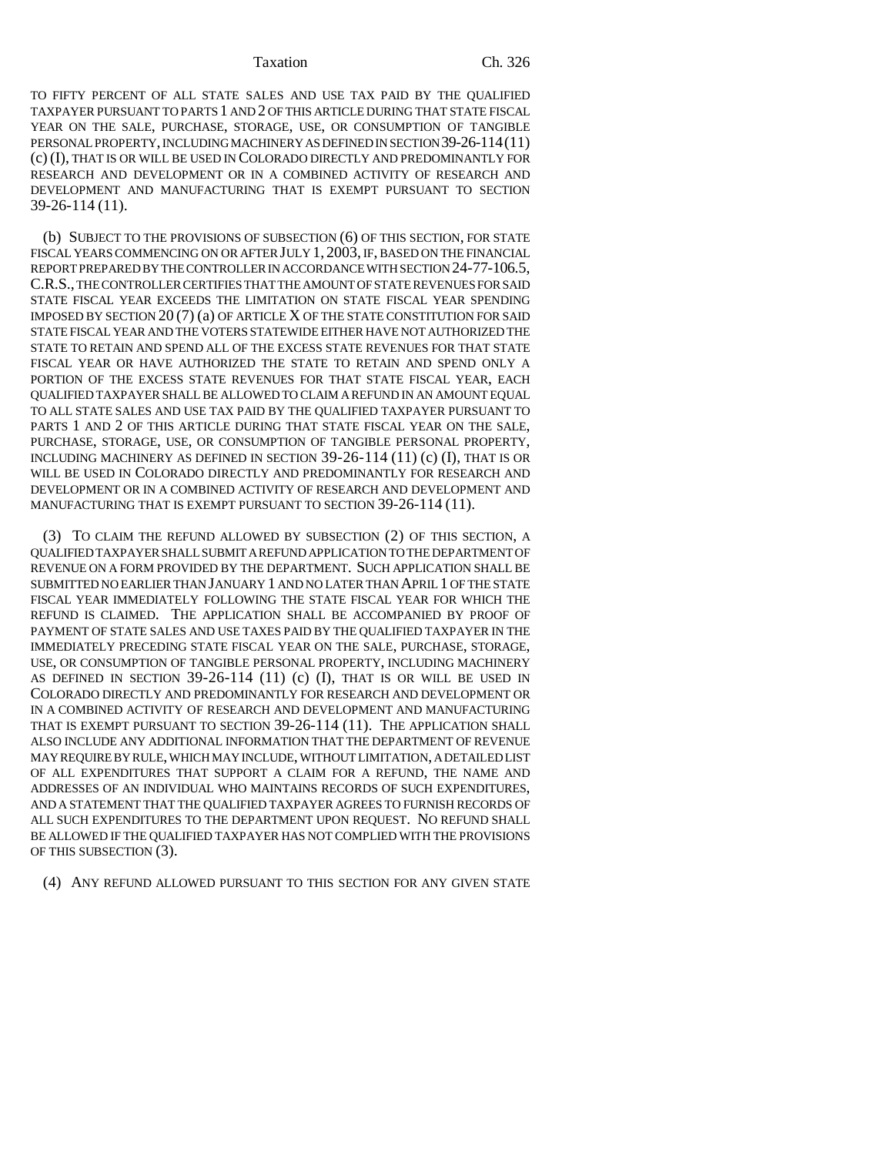#### Taxation Ch. 326

TO FIFTY PERCENT OF ALL STATE SALES AND USE TAX PAID BY THE QUALIFIED TAXPAYER PURSUANT TO PARTS 1 AND 2 OF THIS ARTICLE DURING THAT STATE FISCAL YEAR ON THE SALE, PURCHASE, STORAGE, USE, OR CONSUMPTION OF TANGIBLE PERSONAL PROPERTY, INCLUDING MACHINERY AS DEFINED IN SECTION 39-26-114(11) (c) (I), THAT IS OR WILL BE USED IN COLORADO DIRECTLY AND PREDOMINANTLY FOR RESEARCH AND DEVELOPMENT OR IN A COMBINED ACTIVITY OF RESEARCH AND DEVELOPMENT AND MANUFACTURING THAT IS EXEMPT PURSUANT TO SECTION 39-26-114 (11).

(b) SUBJECT TO THE PROVISIONS OF SUBSECTION (6) OF THIS SECTION, FOR STATE FISCAL YEARS COMMENCING ON OR AFTER JULY 1, 2003, IF, BASED ON THE FINANCIAL REPORT PREPARED BY THE CONTROLLER IN ACCORDANCE WITH SECTION 24-77-106.5, C.R.S., THE CONTROLLER CERTIFIES THAT THE AMOUNT OF STATE REVENUES FOR SAID STATE FISCAL YEAR EXCEEDS THE LIMITATION ON STATE FISCAL YEAR SPENDING IMPOSED BY SECTION 20 (7) (a) OF ARTICLE X OF THE STATE CONSTITUTION FOR SAID STATE FISCAL YEAR AND THE VOTERS STATEWIDE EITHER HAVE NOT AUTHORIZED THE STATE TO RETAIN AND SPEND ALL OF THE EXCESS STATE REVENUES FOR THAT STATE FISCAL YEAR OR HAVE AUTHORIZED THE STATE TO RETAIN AND SPEND ONLY A PORTION OF THE EXCESS STATE REVENUES FOR THAT STATE FISCAL YEAR, EACH QUALIFIED TAXPAYER SHALL BE ALLOWED TO CLAIM A REFUND IN AN AMOUNT EQUAL TO ALL STATE SALES AND USE TAX PAID BY THE QUALIFIED TAXPAYER PURSUANT TO PARTS 1 AND 2 OF THIS ARTICLE DURING THAT STATE FISCAL YEAR ON THE SALE, PURCHASE, STORAGE, USE, OR CONSUMPTION OF TANGIBLE PERSONAL PROPERTY, INCLUDING MACHINERY AS DEFINED IN SECTION 39-26-114 (11) (c) (I), THAT IS OR WILL BE USED IN COLORADO DIRECTLY AND PREDOMINANTLY FOR RESEARCH AND DEVELOPMENT OR IN A COMBINED ACTIVITY OF RESEARCH AND DEVELOPMENT AND MANUFACTURING THAT IS EXEMPT PURSUANT TO SECTION 39-26-114 (11).

(3) TO CLAIM THE REFUND ALLOWED BY SUBSECTION (2) OF THIS SECTION, A QUALIFIED TAXPAYER SHALL SUBMIT A REFUND APPLICATION TO THE DEPARTMENT OF REVENUE ON A FORM PROVIDED BY THE DEPARTMENT. SUCH APPLICATION SHALL BE SUBMITTED NO EARLIER THAN JANUARY 1 AND NO LATER THAN APRIL 1 OF THE STATE FISCAL YEAR IMMEDIATELY FOLLOWING THE STATE FISCAL YEAR FOR WHICH THE REFUND IS CLAIMED. THE APPLICATION SHALL BE ACCOMPANIED BY PROOF OF PAYMENT OF STATE SALES AND USE TAXES PAID BY THE QUALIFIED TAXPAYER IN THE IMMEDIATELY PRECEDING STATE FISCAL YEAR ON THE SALE, PURCHASE, STORAGE, USE, OR CONSUMPTION OF TANGIBLE PERSONAL PROPERTY, INCLUDING MACHINERY AS DEFINED IN SECTION  $39-26-114$  (11) (c) (I), THAT IS OR WILL BE USED IN COLORADO DIRECTLY AND PREDOMINANTLY FOR RESEARCH AND DEVELOPMENT OR IN A COMBINED ACTIVITY OF RESEARCH AND DEVELOPMENT AND MANUFACTURING THAT IS EXEMPT PURSUANT TO SECTION 39-26-114 (11). THE APPLICATION SHALL ALSO INCLUDE ANY ADDITIONAL INFORMATION THAT THE DEPARTMENT OF REVENUE MAY REQUIRE BY RULE, WHICH MAY INCLUDE, WITHOUT LIMITATION, A DETAILED LIST OF ALL EXPENDITURES THAT SUPPORT A CLAIM FOR A REFUND, THE NAME AND ADDRESSES OF AN INDIVIDUAL WHO MAINTAINS RECORDS OF SUCH EXPENDITURES, AND A STATEMENT THAT THE QUALIFIED TAXPAYER AGREES TO FURNISH RECORDS OF ALL SUCH EXPENDITURES TO THE DEPARTMENT UPON REQUEST. NO REFUND SHALL BE ALLOWED IF THE QUALIFIED TAXPAYER HAS NOT COMPLIED WITH THE PROVISIONS OF THIS SUBSECTION (3).

(4) ANY REFUND ALLOWED PURSUANT TO THIS SECTION FOR ANY GIVEN STATE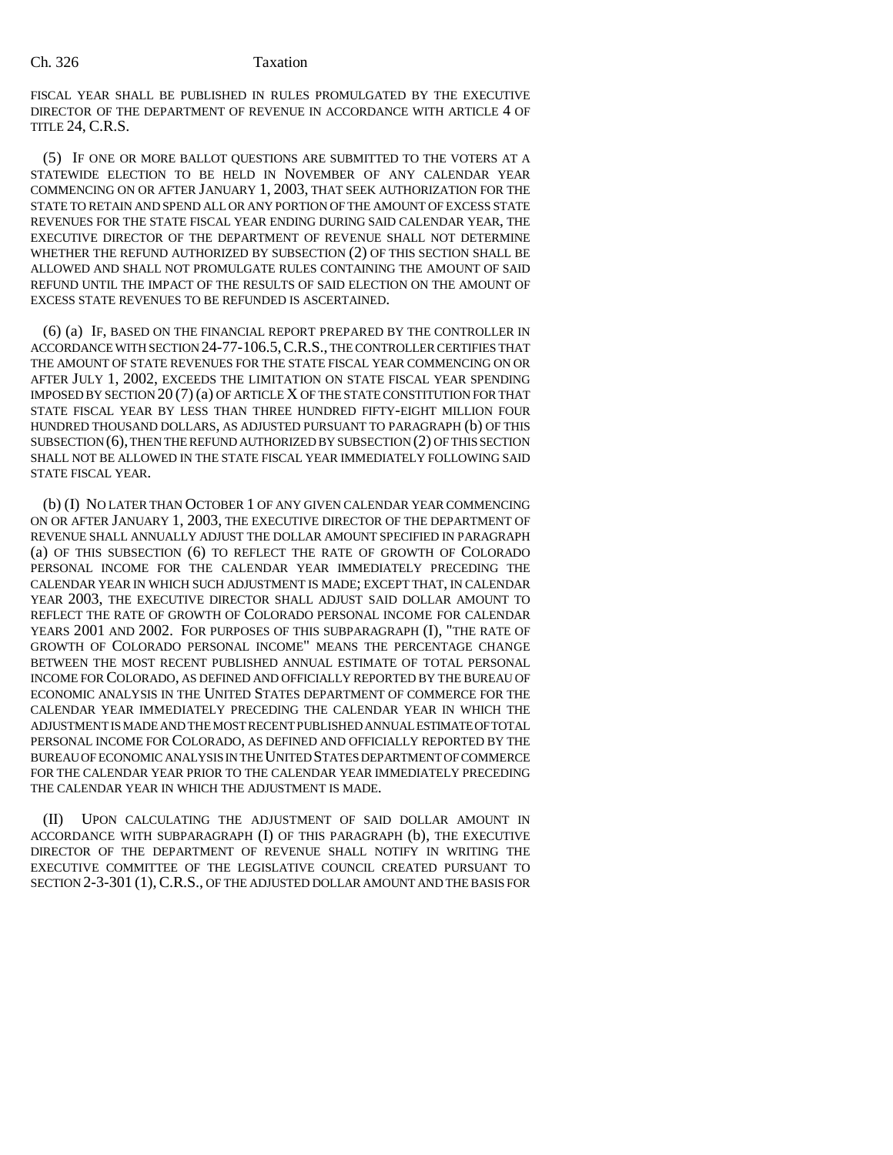FISCAL YEAR SHALL BE PUBLISHED IN RULES PROMULGATED BY THE EXECUTIVE DIRECTOR OF THE DEPARTMENT OF REVENUE IN ACCORDANCE WITH ARTICLE 4 OF TITLE 24, C.R.S.

(5) IF ONE OR MORE BALLOT QUESTIONS ARE SUBMITTED TO THE VOTERS AT A STATEWIDE ELECTION TO BE HELD IN NOVEMBER OF ANY CALENDAR YEAR COMMENCING ON OR AFTER JANUARY 1, 2003, THAT SEEK AUTHORIZATION FOR THE STATE TO RETAIN AND SPEND ALL OR ANY PORTION OF THE AMOUNT OF EXCESS STATE REVENUES FOR THE STATE FISCAL YEAR ENDING DURING SAID CALENDAR YEAR, THE EXECUTIVE DIRECTOR OF THE DEPARTMENT OF REVENUE SHALL NOT DETERMINE WHETHER THE REFUND AUTHORIZED BY SUBSECTION (2) OF THIS SECTION SHALL BE ALLOWED AND SHALL NOT PROMULGATE RULES CONTAINING THE AMOUNT OF SAID REFUND UNTIL THE IMPACT OF THE RESULTS OF SAID ELECTION ON THE AMOUNT OF EXCESS STATE REVENUES TO BE REFUNDED IS ASCERTAINED.

(6) (a) IF, BASED ON THE FINANCIAL REPORT PREPARED BY THE CONTROLLER IN ACCORDANCE WITH SECTION 24-77-106.5,C.R.S., THE CONTROLLER CERTIFIES THAT THE AMOUNT OF STATE REVENUES FOR THE STATE FISCAL YEAR COMMENCING ON OR AFTER JULY 1, 2002, EXCEEDS THE LIMITATION ON STATE FISCAL YEAR SPENDING IMPOSED BY SECTION 20 (7) (a) OF ARTICLE X OF THE STATE CONSTITUTION FOR THAT STATE FISCAL YEAR BY LESS THAN THREE HUNDRED FIFTY-EIGHT MILLION FOUR HUNDRED THOUSAND DOLLARS, AS ADJUSTED PURSUANT TO PARAGRAPH (b) OF THIS SUBSECTION (6), THEN THE REFUND AUTHORIZED BY SUBSECTION (2) OF THIS SECTION SHALL NOT BE ALLOWED IN THE STATE FISCAL YEAR IMMEDIATELY FOLLOWING SAID STATE FISCAL YEAR.

(b) (I) NO LATER THAN OCTOBER 1 OF ANY GIVEN CALENDAR YEAR COMMENCING ON OR AFTER JANUARY 1, 2003, THE EXECUTIVE DIRECTOR OF THE DEPARTMENT OF REVENUE SHALL ANNUALLY ADJUST THE DOLLAR AMOUNT SPECIFIED IN PARAGRAPH (a) OF THIS SUBSECTION (6) TO REFLECT THE RATE OF GROWTH OF COLORADO PERSONAL INCOME FOR THE CALENDAR YEAR IMMEDIATELY PRECEDING THE CALENDAR YEAR IN WHICH SUCH ADJUSTMENT IS MADE; EXCEPT THAT, IN CALENDAR YEAR 2003, THE EXECUTIVE DIRECTOR SHALL ADJUST SAID DOLLAR AMOUNT TO REFLECT THE RATE OF GROWTH OF COLORADO PERSONAL INCOME FOR CALENDAR YEARS 2001 AND 2002. FOR PURPOSES OF THIS SUBPARAGRAPH (I), "THE RATE OF GROWTH OF COLORADO PERSONAL INCOME" MEANS THE PERCENTAGE CHANGE BETWEEN THE MOST RECENT PUBLISHED ANNUAL ESTIMATE OF TOTAL PERSONAL INCOME FOR COLORADO, AS DEFINED AND OFFICIALLY REPORTED BY THE BUREAU OF ECONOMIC ANALYSIS IN THE UNITED STATES DEPARTMENT OF COMMERCE FOR THE CALENDAR YEAR IMMEDIATELY PRECEDING THE CALENDAR YEAR IN WHICH THE ADJUSTMENT IS MADE AND THE MOST RECENT PUBLISHED ANNUAL ESTIMATE OF TOTAL PERSONAL INCOME FOR COLORADO, AS DEFINED AND OFFICIALLY REPORTED BY THE BUREAU OF ECONOMIC ANALYSIS IN THE UNITED STATES DEPARTMENT OF COMMERCE FOR THE CALENDAR YEAR PRIOR TO THE CALENDAR YEAR IMMEDIATELY PRECEDING THE CALENDAR YEAR IN WHICH THE ADJUSTMENT IS MADE.

(II) UPON CALCULATING THE ADJUSTMENT OF SAID DOLLAR AMOUNT IN ACCORDANCE WITH SUBPARAGRAPH (I) OF THIS PARAGRAPH (b), THE EXECUTIVE DIRECTOR OF THE DEPARTMENT OF REVENUE SHALL NOTIFY IN WRITING THE EXECUTIVE COMMITTEE OF THE LEGISLATIVE COUNCIL CREATED PURSUANT TO SECTION 2-3-301 (1),C.R.S., OF THE ADJUSTED DOLLAR AMOUNT AND THE BASIS FOR